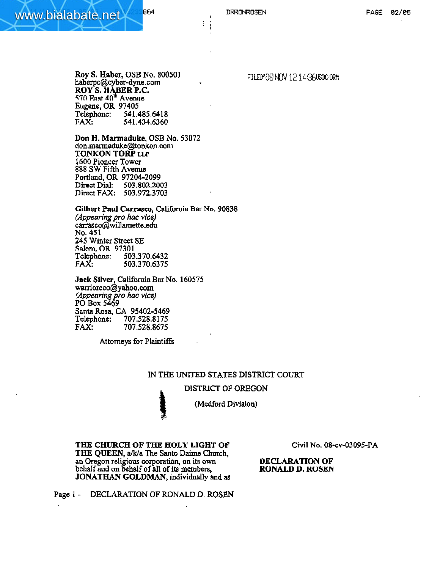÷

**Roy S. Haber, OSB No. 80050 1 haberpc@cyber-dyne.com** . **ROY S. H ABER P.C. 5711 Faat 4d' Avmne Eugene, OR 97405**  Telephone: **541.485.6418 FAX; 541.434.6360** 

**Don H. Marmaduke, OSB No. 53072**  don.marmaduke@tonkon.com **TONKON TORP LLP 1600 Pioneer Towcr 888 S W Fifth Avenue Portlund, OR 97204-2099 Direot Dial: 503.502.2003**  Direct **FAX: 503.972.3703** 

**Gilbert Paul Carrasco, California Bar No. 90838** *(Appearing pro* **hac vice)**   $carrasco$ @willamette.edu **No. 451 245** Winter **Strcct SE Sahm, OR 97301 Tclcphonc: 503-370-4432 FAX: 503.370.6375** 

**Jack Silver, California Bar No. 160575**<br>warrioreco@yahoo.com<br>(*Appearing pro hac vice)*<br>PO Box 5469<br>Santa Rosa, CA 95402-5469 **wamoreco@yahoo.com**  *(Appearing pro hac vice)*<br>PO Box 5469 **Santa Rosa, CA 95402-5469**  Telephone: **707.528.8 175 FAX: 707.528.8675** 

**Attorneys for Plaintiffs** 

### **IN THE** UNITED **STATES DISTRICT COURT**

### **DISTRICT OF OREGON**



**THE CHURCH OF THE HOLY LIGHT OP Civil No. 08-cv-03095-PA THE QUEEN, a/k/a The Santo Daime Church, an Oregon religious corporation, on its own DECLARATION OF**   $\Phi$  behalf and on behalf of all of its members, **JONATHAN GOLDMAN**, individually and as

 $\frac{1}{2}$ 

FILED OF NEW 121436USDCORM

Page 1 - DECLARATION OF RONALD **D. ROSEN**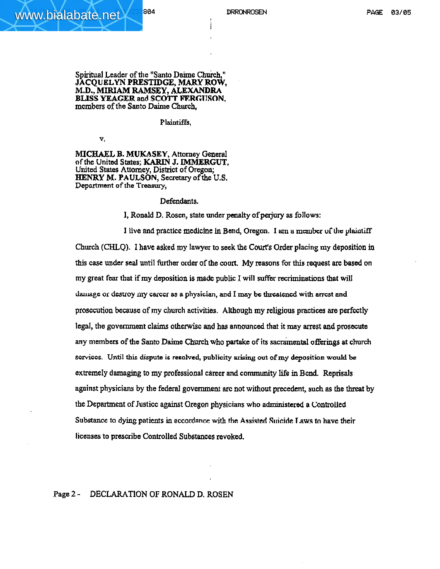#### **Spiritual Leader of the "Santo Daime Chuich," JACQUELYN PRESTIDGE, MARY ROW, M.D., MIRIAM MSEY, ALEXANDRA BLISS YEAGER and SCOTT FERGHSON, members** of the **Santo Dahe Church,**

#### **Plaintiffs,**

V,

**MICHAEL B. MUKASEY, Attorney General nf the United States;** KARIN **J. IMMERGUT, United States Attorney, District** of **Oregon; HENRY M. PAULSON, Secretary of the U.S, Depwtmsnt of the Treasury,** 

### Defendants.

**I, Ronald D. Rostn, state under penalty ofperjury as follows:** 

**1** live and practice medicine in Bend, Oregon. I am a member of the plaintiff **Church (CHLQ). I have asked my lawyer to seek the Court's Order placing my deposition** iu **this case under seal until further order** of **the court. My reasons for this request are based on my great fear that if my deposition is made public I will suffer recriminations that will &illage or dcsmy my** carver **as a physician, and I may be Usrcakncd with amst and**  prosecution **because of my cburch activities. Although my religious practices are** perfectly  $\log_{1}$ , the government claims otherwise and has announced that it may arrest and prosecute **any members of the Santo Daime Church who partake of its sac&ental ofkings at church fiorviccs. Until this dispute is resolved, publicity out of my deposition would be extremdy damaging to my professional career and community life in Bcnd. Reprisals against physicians by the federal government arc not without precedent, such as he threat by the Doparimerit of Justicc against Oregon physicians who administered a Controlled Sabstm.c to dying patients in accordance with the Assisted Aricide Taws tn have their licenses to prescribe Controlled Substances revoked.** 

## **Page 2 - DECLARATION OF RONALD D. ROSEN**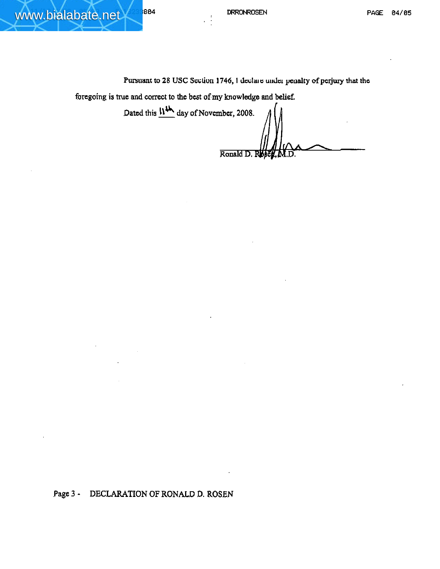www.bialabate.net 804

Pursuant to 28 USC Section 1746, I declare under penalty of perjury that the

foregoing is true and correct to the best of my knowledge and belief.

Dated this  $\frac{114}{11}$  day of November, 2008.

Ronald D. Roject, M.D.

Page 3 - DECLARATION OF RONALD D. ROSEN